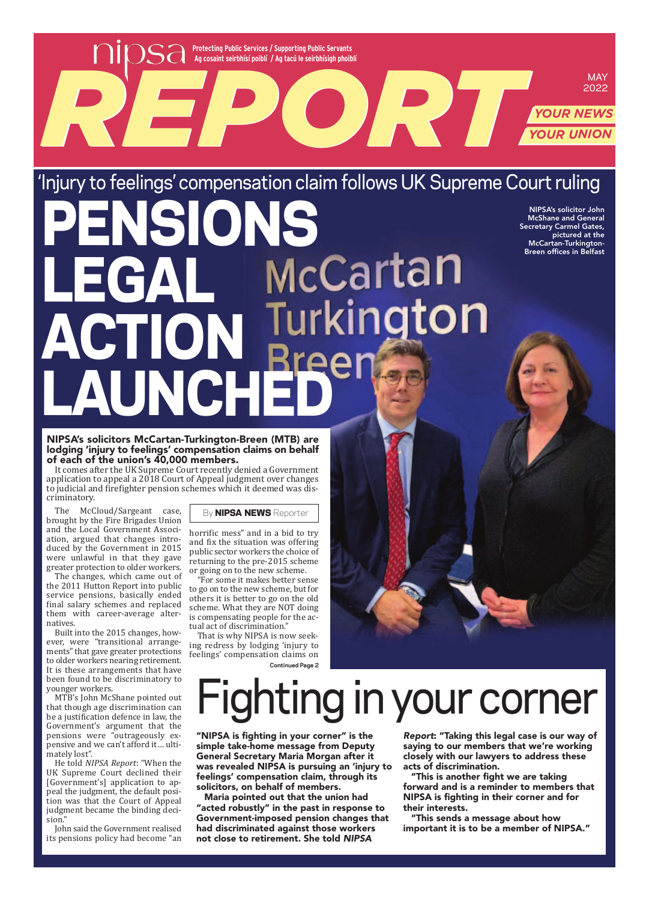**Protecting Public Services / Supporting Public Servants Ag cosaint seirbhísí poiblí / Ag tacú le seirbhísigh phoiblí REPORT OF AUTOR CONSULTANTS POLICE AUTOR DESCRIPTION OF AUTOR VIDEO AUTOR NEWSLET AUTOR VIDEO AUTOR VIDEO AUTOR VIDEO** MAY<br>2022<br>YOUR NEWS<br>YOUR UNION

'Injury to feelings' compensation claim follows UK Supreme Court ruling DINI NIPSA's solicitor John McShane and General Secretary Carmel Gates, McCartan-Turkington-Breen offices in BelfastMcCartan lEgAl ActIoN Q lAuNchEd

NIPSA's solicitors McCartan-Turkington-Breen (MTB) are lodging 'injury to feelings' compensation claims on behalf of each of the union's 40,000 members.

It comes after the UK Supreme Court recently denied a Government application to appeal a 2018 Court of Appeal judgment over changes to judicial and firefighter pension schemes which it deemed was dis‐ criminatory.

The McCloud/Sargeant case, brought by the Fire Brigades Union and the Local Government Associ‐ ation, argued that changes intro‐ duced by the Government in 2015 were unlawful in that they gave greater protection to older workers.

The changes, which came out of the 2011 Hutton Report into public service pensions, basically ended final salary schemes and replaced them with career‐average alter‐ natives.

Built into the 2015 changes, how‐ ever, were "transitional arrange‐ ments" that gave greater protections to older workers nearing retirement. It is these arrangements that have been found to be discriminatory to younger workers.

MTB's John McShane pointed out that though age discrimination can be a justification defence in law, the Government's argument that the pensions were "outrageously expensive and we can't afford it... ultimately lost".

He told *NIPSA Report*: "When the UK Supreme Court declined their [Government's] application to ap‐ peal the judgment, the default posi‐ tion was that the Court of Appeal judgment became the binding deci‐ sion.

John said the Government realised its pensions policy had become "an By **NIPSA NEWS** Reporter

horrific mess" and in a bid to try and fix the situation was offering public sector workers the choice of returning to the pre‐2015 scheme or going on to the new scheme.

"For some it makes better sense to go on to the new scheme, but for others it is better to go on the old scheme. What they are NOT doing is compensating people for the actual act of discrimination."

That is why NIPSA is now seek‐ ing redress by lodging 'injury to feelings' compensation claims on

**Continued Page 2**

# ighting in your corner

"NIPSA is fighting in your corner" is the simple take-home message from Deputy General Secretary Maria Morgan after it was revealed NIPSA is pursuing an 'injury to feelings' compensation claim, through its solicitors, on behalf of members.

Maria pointed out that the union had "acted robustly" in the past in response to Government-imposed pension changes that had discriminated against those workers not close to retirement. She told NIPSA

Report: "Taking this legal case is our way of saying to our members that we're working closely with our lawyers to address these acts of discrimination.

*YOUR NEWS*

pictured at the

"This is another fight we are taking forward and is a reminder to members that NIPSA is fighting in their corner and for their interests.

"This sends a message about how important it is to be a member of NIPSA."